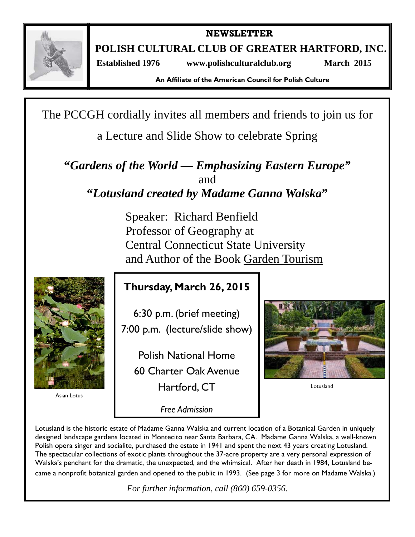

**NEWSLETTER** 

**POLISH CULTURAL CLUB OF GREATER HARTFORD, INC.** 

 **Established 1976 www.polishculturalclub.org March 2015** 

**An Affiliate of the American Council for Polish Culture** 

The PCCGH cordially invites all members and friends to join us for

a Lecture and Slide Show to celebrate Spring

**"***Gardens of the World — Emphasizing Eastern Europe"*  and **"***Lotusland created by Madame Ganna Walska***"** 

> Speaker: Richard Benfield Professor of Geography at Central Connecticut State University and Author of the Book Garden Tourism



Asian Lotus

# **Thursday, March 26, 2015**

6:30 p.m. (brief meeting) 7:00 p.m. (lecture/slide show)

Polish National Home 60 Charter Oak Avenue Hartford, CT

*Free Admission* 



Lotusland

Lotusland is the historic estate of Madame Ganna Walska and current location of a Botanical Garden in uniquely designed landscape gardens located in Montecito near Santa Barbara, CA. Madame Ganna Walska, a well-known Polish opera singer and socialite, purchased the estate in 1941 and spent the next 43 years creating Lotusland. The spectacular collections of exotic plants throughout the 37-acre property are a very personal expression of Walska's penchant for the dramatic, the unexpected, and the whimsical. After her death in 1984, Lotusland became a nonprofit botanical garden and opened to the public in 1993. (See page 3 for more on Madame Walska.)

*For further information, call (860) 659-0356.*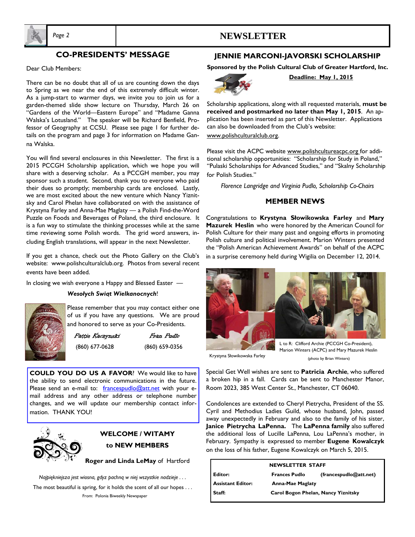

# **CO-PRESIDENTS' MESSAGE**

*Page 2* **NEWSLETTER** 

Dear Club Members:

There can be no doubt that all of us are counting down the days to Spring as we near the end of this extremely difficult winter. As a jump-start to warmer days, we invite you to join us for a garden-themed slide show lecture on Thursday, March 26 on "Gardens of the World—Eastern Europe" and "Madame Ganna Walska's Lotusland." The speaker will be Richard Benfield, Professor of Geography at CCSU. Please see page 1 for further details on the program and page 3 for information on Madame Ganna Walska.

You will find several enclosures in this Newsletter. The first is a 2015 PCCGH Scholarship application, which we hope you will share with a deserving scholar. As a PCCGH member, you may sponsor such a student. Second, thank you to everyone who paid their dues so promptly; membership cards are enclosed. Lastly, we are most excited about the new venture which Nancy Yiznitsky and Carol Phelan have collaborated on with the assistance of Krystyna Farley and Anna-Mae Maglaty — a Polish Find-the-Word Puzzle on Foods and Beverages of Poland, the third enclosure. It is a fun way to stimulate the thinking processes while at the same time reviewing some Polish words. The grid word answers, including English translations, will appear in the next Newsletter.

 If you get a chance, check out the Photo Gallery on the Club's website: www.polishculturalclub.org. Photos from several recent events have been added.

In closing we wish everyone a Happy and Blessed Easter —

#### *Wesołych Swiąt Wielkanocnych*!



Please remember that you may contact either one of us if you have any questions. We are proud and honored to serve as your Co-Presidents.

Pattie Kaczynski Fran Pudlo (860) 677-0628 (860) 659-0356

**COULD YOU DO US A FAVOR**? We would like to have the ability to send electronic communications in the future. Please send an e-mail to:  $frac{1}{2}$   $frac{1}{2}$   $frac{1}{2}$   $frac{1}{2}$   $frac{1}{2}$   $frac{1}{2}$   $frac{1}{2}$   $frac{1}{2}$   $frac{1}{2}$   $frac{1}{2}$   $frac{1}{2}$   $frac{1}{2}$   $frac{1}{2}$   $frac{1}{2}$   $frac{1}{2}$   $frac{1}{2}$   $frac{1}{2}$   $frac{1}{2}$   $frac{1}{2}$   $frac{1}{2}$   $frac{1}{2}$   $frac{1}{2$ mail address and any other address or telephone number changes, and we will update our membership contact information. THANK YOU!



# **WELCOME / WITAMY to NEW MEMBERS**

**Roger and Linda LeMay** of Hartford

*Najpiękniejsza jest wiosna, gdyz pachną w niej wszystkie nadzieje . . .*  The most beautiful is spring, for it holds the scent of all our hopes . . . From: Polonia Biweekly Newspaper

## **JENNIE MARCONI-JAVORSKI SCHOLARSHIP**

**Sponsored by the Polish Cultural Club of Greater Hartford, Inc.** 



**Deadline: May 1, 2015** 

Scholarship applications, along with all requested materials, **must be received and postmarked no later than May 1, 2015**. An application has been inserted as part of this Newsletter. Applications can also be downloaded from the Club's website:

www.polishculturalclub.org.

Please visit the ACPC website www.polishcultureacpc.org for additional scholarship opportunities: "Scholarship for Study in Poland," "Pulaski Scholarships for Advanced Studies," and "Skalny Scholarship for Polish Studies."

*Florence Langridge and Virginia Pudlo, Scholarship Co-Chairs* 

#### **MEMBER NEWS**

Congratulations to **Krystyna Słowikowska Farley** and **Mary Mazurek Heslin** who were honored by the American Council for Polish Culture for their many past and ongoing efforts in promoting Polish culture and political involvement. Marion Winters presented the "Polish American Achievement Awards" on behalf of the ACPC

in a surprise ceremony held during Wigilia on December 12, 2014.



Krystyna Słowikowska Farley

Marion Winters (ACPC) and Mary Mazurek Heslin (photo by Brian Winters)

Special Get Well wishes are sent to **Patricia Archie**, who suffered a broken hip in a fall. Cards can be sent to Manchester Manor, Room 2023, 385 West Center St., Manchester, CT 06040.

Condolences are extended to Cheryl Pietrycha, President of the SS. Cyril and Methodius Ladies Guild, whose husband, John, passed away unexpectedly in February and also to the family of his sister, **Janice Pietrycha LaPenna.** The **LaPenna family** also suffered the additional loss of Lucille LaPenna, Lou LaPenna's mother, in February. Sympathy is expressed to member **Eugene Kowalczyk**  on the loss of his father, Eugene Kowalczyk on March 5, 2015.

| <b>NEWSLETTER STAFF</b> |                                     |                        |
|-------------------------|-------------------------------------|------------------------|
| <b>L</b> Editor:        | <b>Frances Pudlo</b>                | (francespudlo@att.net) |
| Assistant Editor:       | <b>Anna-Mae Maglaty</b>             |                        |
| Staff:                  | Carol Bogon Phelan, Nancy Yiznitsky |                        |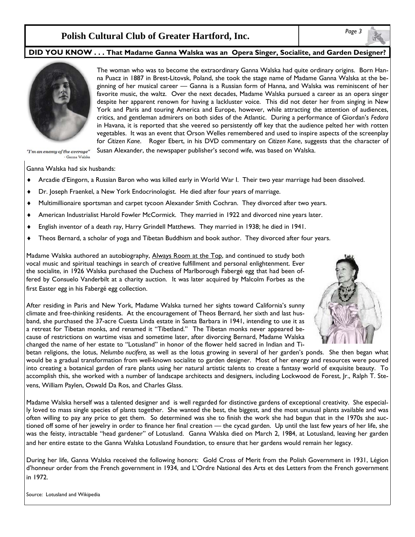# *Page 3* **Polish Cultural Club of Greater Hartford, Inc.**

### **DID YOU KNOW . . . That Madame Ganna Walska was an Opera Singer, Socialite, and Garden Designer?**



The woman who was to become the extraordinary Ganna Walska had quite ordinary origins. Born Hanna Puacz in 1887 in Brest-Litovsk, Poland, she took the stage name of Madame Ganna Walska at the beginning of her musical career — Ganna is a Russian form of Hanna, and Walska was reminiscent of her favorite music, the waltz. Over the next decades, Madame Walska pursued a career as an opera singer despite her apparent renown for having a lackluster voice. This did not deter her from singing in New York and Paris and touring America and Europe, however, while attracting the attention of audiences, critics, and gentleman admirers on both sides of the Atlantic. During a performance of Giordan's *Fedora* in Havana, it is reported that she veered so persistently off key that the audience pelted her with rotten vegetables. It was an event that Orson Welles remembered and used to inspire aspects of the screenplay for *Citizen Kane*. Roger Ebert, in his DVD commentary on *Citizen Kane*, suggests that the character of Susan Alexander, the newspaper publisher's second wife, was based on Walska.

"I'm an enemy of the average" - Ganna Walska

Ganna Walska had six husbands:

- Arcadie d'Eingorn, a Russian Baron who was killed early in World War I. Their two year marriage had been dissolved.
- Dr. Joseph Fraenkel, a New York Endocrinologist. He died after four years of marriage.
- Multimillionaire sportsman and carpet tycoon Alexander Smith Cochran. They divorced after two years.
- American Industrialist Harold Fowler McCormick. They married in 1922 and divorced nine years later.
- English inventor of a death ray, Harry Grindell Matthews. They married in 1938; he died in 1941.
- Theos Bernard, a scholar of yoga and Tibetan Buddhism and book author. They divorced after four years.

Madame Walska authored an autobiography, Always Room at the Top, and continued to study both vocal music and spiritual teachings in search of creative fulfillment and personal enlightenment. Ever the socialite, in 1926 Walska purchased the Duchess of Marlborough Fabergé egg that had been offered by Consuelo Vanderbilt at a charity auction. It was later acquired by Malcolm Forbes as the first Easter egg in his Fabergé egg collection.

After residing in Paris and New York, Madame Walska turned her sights toward California's sunny climate and free-thinking residents. At the encouragement of Theos Bernard, her sixth and last husband, she purchased the 37-acre Cuesta Linda estate in Santa Barbara in 1941, intending to use it as a retreat for Tibetan monks, and renamed it "Tibetland." The Tibetan monks never appeared because of restrictions on wartime visas and sometime later, after divorcing Bernard, Madame Walska changed the name of her estate to "Lotusland" in honor of the flower held sacred in Indian and Ti-



betan religions, the lotus, *Nelumbo nucifera,* as well as the lotus growing in several of her garden's ponds. She then began what would be a gradual transformation from well-known socialite to garden designer. Most of her energy and resources were poured into creating a botanical garden of rare plants using her natural artistic talents to create a fantasy world of exquisite beauty. To accomplish this, she worked with a number of landscape architects and designers, including Lockwood de Forest, Jr., Ralph T. Stevens, William Paylen, Oswald Da Ros, and Charles Glass.

Madame Walska herself was a talented designer and is well regarded for distinctive gardens of exceptional creativity. She especially loved to mass single species of plants together. She wanted the best, the biggest, and the most unusual plants available and was often willing to pay any price to get them. So determined was she to finish the work she had begun that in the 1970s she auctioned off some of her jewelry in order to finance her final creation — the cycad garden. Up until the last few years of her life, she was the feisty, intractable "head gardener" of Lotusland. Ganna Walska died on March 2, 1984, at Lotusland, leaving her garden and her entire estate to the Ganna Walska Lotusland Foundation, to ensure that her gardens would remain her legacy.

During her life, Ganna Walska received the following honors: Gold Cross of Merit from the Polish Government in 1931, Légion d'honneur order from the French government in 1934, and L'Ordre National des Arts et des Letters from the French government in 1972.